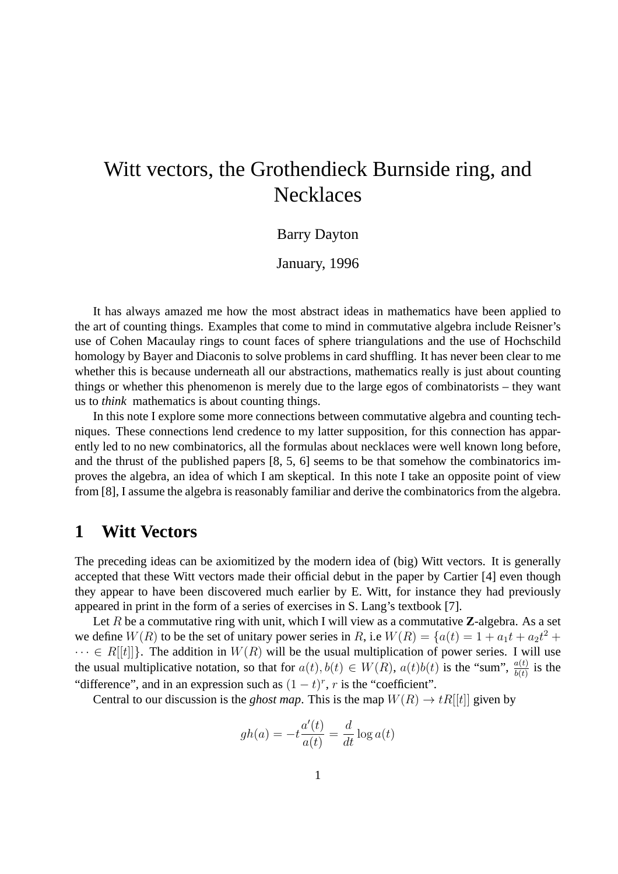# Witt vectors, the Grothendieck Burnside ring, and Necklaces

### Barry Dayton

### January, 1996

It has always amazed me how the most abstract ideas in mathematics have been applied to the art of counting things. Examples that come to mind in commutative algebra include Reisner's use of Cohen Macaulay rings to count faces of sphere triangulations and the use of Hochschild homology by Bayer and Diaconis to solve problems in card shuffling. It has never been clear to me whether this is because underneath all our abstractions, mathematics really is just about counting things or whether this phenomenon is merely due to the large egos of combinatorists – they want us to *think* mathematics is about counting things.

In this note I explore some more connections between commutative algebra and counting techniques. These connections lend credence to my latter supposition, for this connection has apparently led to no new combinatorics, all the formulas about necklaces were well known long before, and the thrust of the published papers [8, 5, 6] seems to be that somehow the combinatorics improves the algebra, an idea of which I am skeptical. In this note I take an opposite point of view from [8], I assume the algebra is reasonably familiar and derive the combinatorics from the algebra.

# **1 Witt Vectors**

The preceding ideas can be axiomitized by the modern idea of (big) Witt vectors. It is generally accepted that these Witt vectors made their official debut in the paper by Cartier [4] even though they appear to have been discovered much earlier by E. Witt, for instance they had previously appeared in print in the form of a series of exercises in S. Lang's textbook [7].

Let R be a commutative ring with unit, which I will view as a commutative **Z**-algebra. As a set we define  $W(R)$  to be the set of unitary power series in R, i.e  $W(R) = \{a(t) = 1 + a_1t + a_2t^2 +$  $\cdots \in R[[t]]$ . The addition in  $W(R)$  will be the usual multiplication of power series. I will use the usual multiplicative notation, so that for  $a(t)$ ,  $b(t) \in W(R)$ ,  $a(t)b(t)$  is the "sum",  $\frac{a(t)}{b(t)}$  is the "difference", and in an expression such as  $(1-t)^r$ , r is the "coefficient".

Central to our discussion is the *ghost map*. This is the map  $W(R) \to tR[[t]]$  given by

$$
gh(a) = -t \frac{a'(t)}{a(t)} = \frac{d}{dt} \log a(t)
$$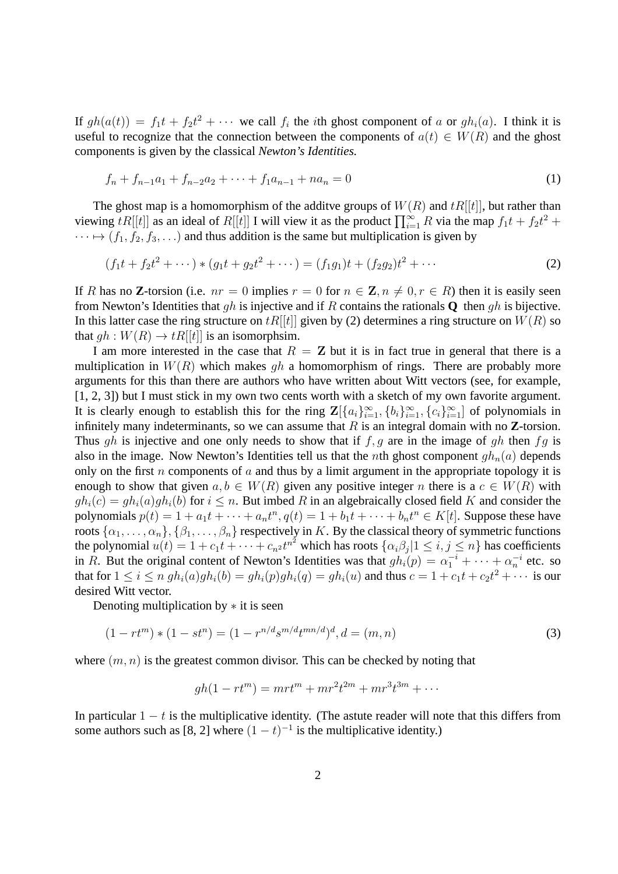If  $gh(a(t)) = f_1t + f_2t^2 + \cdots$  we call  $f_i$  the *i*th ghost component of a or  $gh_i(a)$ . I think it is useful to recognize that the connection between the components of  $a(t) \in W(R)$  and the ghost components is given by the classical *Newton's Identities.*

$$
f_n + f_{n-1}a_1 + f_{n-2}a_2 + \dots + f_1a_{n-1} + na_n = 0 \tag{1}
$$

The ghost map is a homomorphism of the additve groups of  $W(R)$  and  $tR[[t]]$ , but rather than viewing  $tR[[t]]$  as an ideal of  $R[[t]]$  I will view it as the product  $\prod_{i=1}^{\infty} R$  via the map  $f_1t + f_2t^2 +$  $\cdots \mapsto (f_1, f_2, f_3, \ldots)$  and thus addition is the same but multiplication is given by

$$
(f_1t + f_2t^2 + \cdots) * (g_1t + g_2t^2 + \cdots) = (f_1g_1)t + (f_2g_2)t^2 + \cdots
$$
 (2)

If R has no **Z**-torsion (i.e.  $nr = 0$  implies  $r = 0$  for  $n \in \mathbb{Z}$ ,  $n \neq 0$ ,  $r \in R$ ) then it is easily seen from Newton's Identities that gh is injective and if R contains the rationals **Q** then gh is bijective. In this latter case the ring structure on  $tR[[t]]$  given by (2) determines a ring structure on  $W(R)$  so that  $qh: W(R) \to tR[[t]]$  is an isomorphsim.

I am more interested in the case that  $R = Z$  but it is in fact true in general that there is a multiplication in  $W(R)$  which makes gh a homomorphism of rings. There are probably more arguments for this than there are authors who have written about Witt vectors (see, for example, [1, 2, 3]) but I must stick in my own two cents worth with a sketch of my own favorite argument. It is clearly enough to establish this for the ring  $\mathbf{Z}[\{a_i\}_{i=1}^{\infty}, \{b_i\}_{i=1}^{\infty}, \{c_i\}_{i=1}^{\infty}]$  of polynomials in infinitely many indeterminants, so we can assume that  $R$  is an integral domain with no  $Z$ -torsion. Thus gh is injective and one only needs to show that if  $f, g$  are in the image of gh then  $fg$  is also in the image. Now Newton's Identities tell us that the *n*th ghost component  $gh_n(a)$  depends only on the first n components of a and thus by a limit argument in the appropriate topology it is enough to show that given  $a, b \in W(R)$  given any positive integer n there is a  $c \in W(R)$  with  $gh_i(c) = gh_i(a)gh_i(b)$  for  $i \leq n$ . But imbed R in an algebraically closed field K and consider the polynomials  $p(t) = 1 + a_1t + \cdots + a_nt^n, q(t) = 1 + b_1t + \cdots + b_nt^n \in K[t]$ . Suppose these have roots  $\{\alpha_1,\ldots,\alpha_n\},\{\beta_1,\ldots,\beta_n\}$  respectively in  $K.$  By the classical theory of symmetric functions the polynomial  $u(t) = 1 + c_1 t + \cdots + c_n t^{n^2}$  which has roots  $\{\alpha_i \beta_j | 1 \le i, j \le n\}$  has coefficients in R. But the original content of Newton's Identities was that  $gh_i(p) = \alpha_1^{-i} + \cdots + \alpha_n^{-i}$  etc. so that for  $1\leq i\leq n$   $gh_i(a)gh_i(b)=gh_i(p)gh_i(q)=gh_i(u)$  and thus  $c=1+c_1t+c_2t^2+\cdots$  is our desired Witt vector.

Denoting multiplication by  $*$  it is seen

$$
(1 - rt^m) * (1 - st^n) = (1 - r^{n/d} s^{m/d} t^{mn/d})^d, d = (m, n)
$$
\n(3)

where  $(m, n)$  is the greatest common divisor. This can be checked by noting that

$$
gh(1 - rt^m) = mrt^m + mr^2t^{2m} + mr^3t^{3m} + \cdots
$$

In particular  $1 - t$  is the multiplicative identity. (The astute reader will note that this differs from some authors such as [8, 2] where  $(1-t)^{-1}$  is the multiplicative identity.)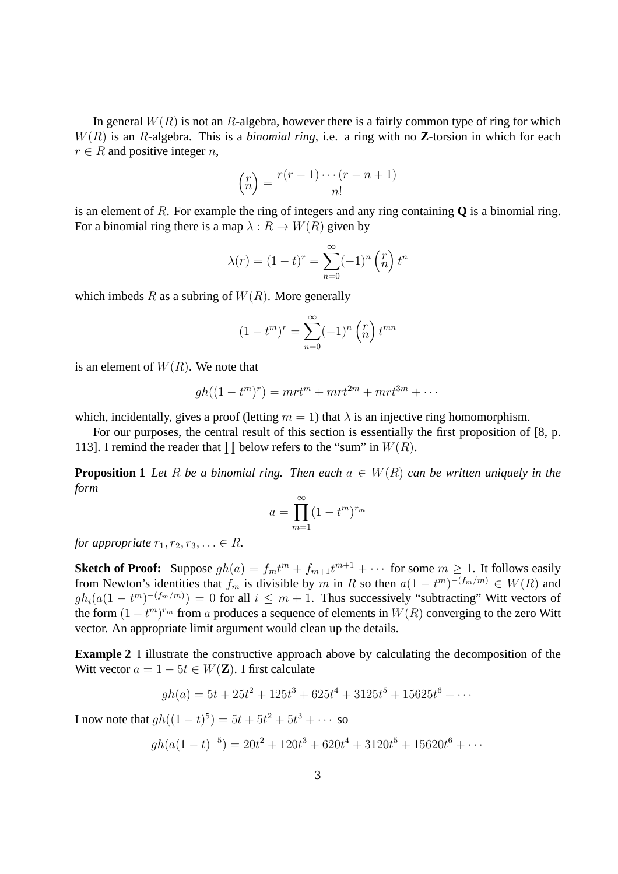In general  $W(R)$  is not an R-algebra, however there is a fairly common type of ring for which W(R) is an R-algebra. This is a *binomial ring*, i.e. a ring with no **Z**-torsion in which for each  $r \in R$  and positive integer *n*,

$$
\binom{r}{n} = \frac{r(r-1)\cdots(r-n+1)}{n!}
$$

is an element of R. For example the ring of integers and any ring containing **Q** is a binomial ring. For a binomial ring there is a map  $\lambda : R \to W(R)$  given by

$$
\lambda(r) = (1 - t)^r = \sum_{n=0}^{\infty} (-1)^n \binom{r}{n} t^n
$$

which imbeds R as a subring of  $W(R)$ . More generally

$$
(1 - tm)r = \sum_{n=0}^{\infty} (-1)n {r \choose n} t^{mn}
$$

is an element of  $W(R)$ . We note that

$$
gh((1-tm)r) = mrtm + mrt2m + mrt3m + \cdots
$$

which, incidentally, gives a proof (letting  $m = 1$ ) that  $\lambda$  is an injective ring homomorphism.

For our purposes, the central result of this section is essentially the first proposition of [8, p. 113]. I remind the reader that  $\prod$  below refers to the "sum" in  $W(R)$ .

**Proposition 1** *Let* R *be a binomial ring. Then each*  $a \in W(R)$  *can be written uniquely in the form*

$$
a = \prod_{m=1}^{\infty} (1 - t^m)^{r_m}
$$

*for appropriate*  $r_1, r_2, r_3, \ldots \in R$ *.* 

**Sketch of Proof:** Suppose  $gh(a) = f_m t^m + f_{m+1} t^{m+1} + \cdots$  for some  $m \ge 1$ . It follows easily from Newton's identities that  $f_m$  is divisible by m in R so then  $a(1 - t^m)^{-(f_m/m)} \in W(R)$  and  $gh_i(a(1-t^m)^{-(f_m/m)})=0$  for all  $i \leq m+1$ . Thus successively "subtracting" Witt vectors of the form  $(1 - t^m)^{r_m}$  from a produces a sequence of elements in  $W(R)$  converging to the zero Witt vector. An appropriate limit argument would clean up the details.

**Example 2** I illustrate the constructive approach above by calculating the decomposition of the Witt vector  $a = 1 - 5t \in W(\mathbf{Z})$ . I first calculate

$$
gh(a) = 5t + 25t2 + 125t3 + 625t4 + 3125t5 + 15625t6 + \cdots
$$

I now note that  $gh((1-t)^5) = 5t + 5t^2 + 5t^3 + \cdots$  so

$$
gh(a(1-t)^{-5}) = 20t^2 + 120t^3 + 620t^4 + 3120t^5 + 15620t^6 + \cdots
$$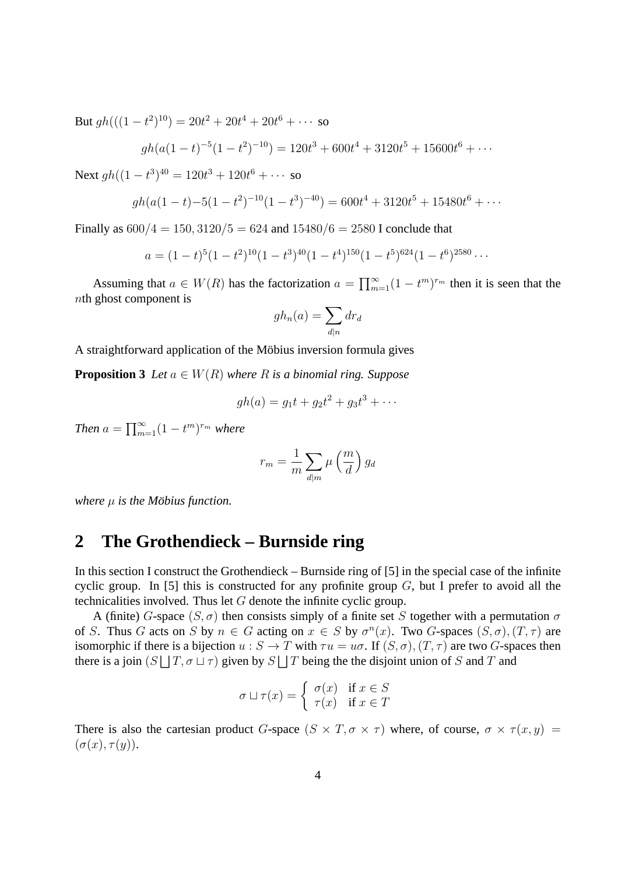But  $gh(((1-t^2)^{10}) = 20t^2 + 20t^4 + 20t^6 + \cdots$  so

$$
gh(a(1-t)^{-5}(1-t^2)^{-10}) = 120t^3 + 600t^4 + 3120t^5 + 15600t^6 + \cdots
$$

Next  $gh((1-t^3)^{40} = 120t^3 + 120t^6 + \cdots$  so

$$
gh(a(1-t)-5(1-t^2)^{-10}(1-t^3)^{-40}) = 600t^4 + 3120t^5 + 15480t^6 + \cdots
$$

Finally as  $600/4 = 150$ ,  $3120/5 = 624$  and  $15480/6 = 2580$  I conclude that

$$
a = (1-t)^5 (1-t^2)^{10} (1-t^3)^{40} (1-t^4)^{150} (1-t^5)^{624} (1-t^6)^{2580} \cdots
$$

Assuming that  $a \in W(R)$  has the factorization  $a = \prod_{m=1}^{\infty} (1 - t^m)^{r_m}$  then it is seen that the nth ghost component is

$$
gh_n(a) = \sum_{d|n} dr_d
$$

A straightforward application of the Möbius inversion formula gives

**Proposition 3** *Let*  $a \in W(R)$  *where*  $R$  *is a binomial ring. Suppose* 

$$
gh(a) = g_1t + g_2t^2 + g_3t^3 + \cdots
$$

*Then*  $a = \prod_{m=1}^{\infty} (1 - t^m)^{r_m}$  *where* 

$$
r_m = \frac{1}{m} \sum_{d|m} \mu\left(\frac{m}{d}\right) g_d
$$

*where*  $\mu$  *is the Möbius function.* 

# **2 The Grothendieck – Burnside ring**

In this section I construct the Grothendieck – Burnside ring of [5] in the special case of the infinite cyclic group. In [5] this is constructed for any profinite group  $G$ , but I prefer to avoid all the technicalities involved. Thus let G denote the infinite cyclic group.

A (finite) G-space  $(S, \sigma)$  then consists simply of a finite set S together with a permutation  $\sigma$ of S. Thus G acts on S by  $n \in G$  acting on  $x \in S$  by  $\sigma^n(x)$ . Two G-spaces  $(S, \sigma)$ ,  $(T, \tau)$  are isomorphic if there is a bijection  $u : S \to T$  with  $\tau u = u\sigma$ . If  $(S, \sigma)$ ,  $(T, \tau)$  are two G-spaces then there is a join  $(S \sqcup T, \sigma \sqcup \tau)$  given by  $S \sqcup T$  being the the disjoint union of S and T and

$$
\sigma \sqcup \tau(x) = \begin{cases} \sigma(x) & \text{if } x \in S \\ \tau(x) & \text{if } x \in T \end{cases}
$$

There is also the cartesian product G-space  $(S \times T, \sigma \times \tau)$  where, of course,  $\sigma \times \tau(x, y)$  =  $(\sigma(x), \tau(y)).$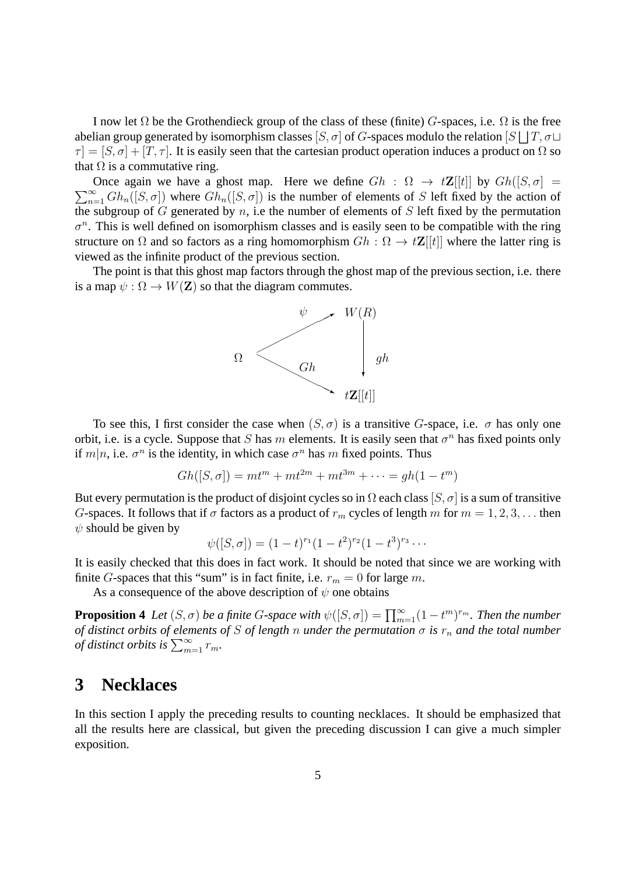I now let  $\Omega$  be the Grothendieck group of the class of these (finite) G-spaces, i.e.  $\Omega$  is the free abelian group generated by isomorphism classes  $[S,\sigma]$  of  $G$ -spaces modulo the relation  $[S \bigsqcup T, \sigma \sqcup$  $\tau = [S, \sigma] + [T, \tau]$ . It is easily seen that the cartesian product operation induces a product on  $\Omega$  so that  $\Omega$  is a commutative ring.

 $\sum_{n=1}^{\infty} Gh_n([S, \sigma])$  where  $Gh_n([S, \sigma])$  is the number of elements of S left fixed by the action of Once again we have a ghost map. Here we define  $Gh : \Omega \to t\mathbb{Z}[[t]]$  by  $Gh([S, \sigma] =$ the subgroup of G generated by  $n$ , i.e the number of elements of S left fixed by the permutation  $\sigma^n$ . This is well defined on isomorphism classes and is easily seen to be compatible with the ring structure on  $\Omega$  and so factors as a ring homomorphism  $Gh : \Omega \to t\mathbb{Z}[[t]]$  where the latter ring is viewed as the infinite product of the previous section.

The point is that this ghost map factors through the ghost map of the previous section, i.e. there is a map  $\psi : \Omega \to W(Z)$  so that the diagram commutes.



To see this, I first consider the case when  $(S, \sigma)$  is a transitive G-space, i.e.  $\sigma$  has only one orbit, i.e. is a cycle. Suppose that S has m elements. It is easily seen that  $\sigma^n$  has fixed points only if  $m|n$ , i.e.  $\sigma^n$  is the identity, in which case  $\sigma^n$  has m fixed points. Thus

$$
Gh([S,\sigma]) = mt^m + mt^{2m} + mt^{3m} + \cdots = gh(1 - t^m)
$$

But every permutation is the product of disjoint cycles so in  $\Omega$  each class  $[S, \sigma]$  is a sum of transitive G-spaces. It follows that if  $\sigma$  factors as a product of  $r_m$  cycles of length m for  $m = 1, 2, 3, \ldots$  then  $\psi$  should be given by

$$
\psi([S,\sigma]) = (1-t)^{r_1}(1-t^2)^{r_2}(1-t^3)^{r_3}\cdots
$$

It is easily checked that this does in fact work. It should be noted that since we are working with finite G-spaces that this "sum" is in fact finite, i.e.  $r_m = 0$  for large m.

As a consequence of the above description of  $\psi$  one obtains

**Proposition 4** Let  $(S, \sigma)$  be a finite G-space with  $\psi([S, \sigma]) = \prod_{m=1}^{\infty} (1 - t^m)^{r_m}$ . Then the number *of distinct orbits of elements of* S *of length* n *under the permutation*  $\sigma$  *is*  $r_n$  *and the total number of distinct orbits is*  $\sum_{m=1}^{\infty} r_m$ .

# **3 Necklaces**

In this section I apply the preceding results to counting necklaces. It should be emphasized that all the results here are classical, but given the preceding discussion I can give a much simpler exposition.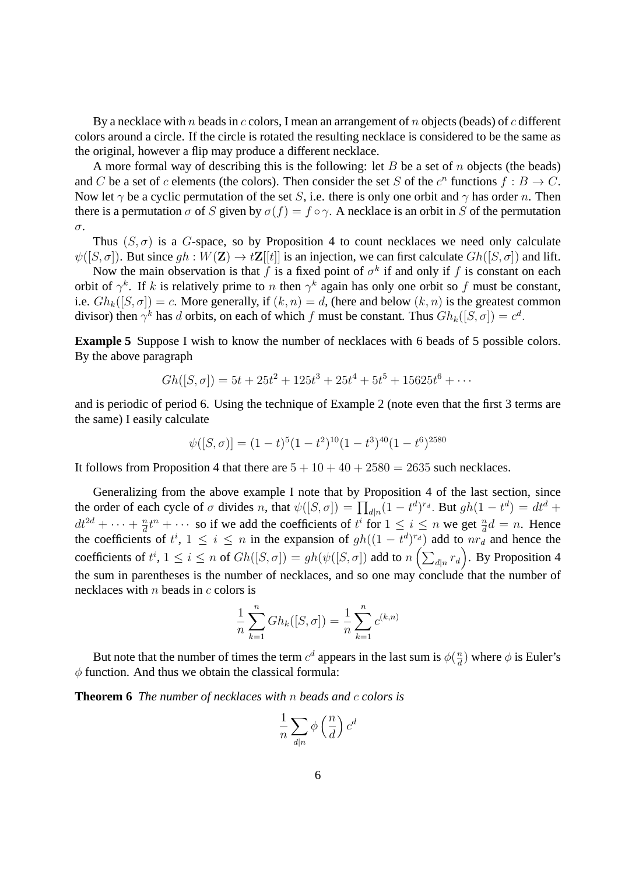By a necklace with n beads in c colors, I mean an arrangement of n objects (beads) of c different colors around a circle. If the circle is rotated the resulting necklace is considered to be the same as the original, however a flip may produce a different necklace.

A more formal way of describing this is the following: let  $B$  be a set of  $n$  objects (the beads) and C be a set of c elements (the colors). Then consider the set S of the  $c^n$  functions  $f : B \to C$ . Now let  $\gamma$  be a cyclic permutation of the set S, i.e. there is only one orbit and  $\gamma$  has order n. Then there is a permutation  $\sigma$  of S given by  $\sigma(f) = f \circ \gamma$ . A necklace is an orbit in S of the permutation σ.

Thus  $(S, \sigma)$  is a G-space, so by Proposition 4 to count necklaces we need only calculate  $\psi([S, \sigma])$ . But since  $gh : W(\mathbf{Z}) \to t\mathbf{Z}[[t]]$  is an injection, we can first calculate  $Gh([S, \sigma])$  and lift.

Now the main observation is that f is a fixed point of  $\sigma^k$  if and only if f is constant on each orbit of  $\gamma^k$ . If k is relatively prime to n then  $\gamma^k$  again has only one orbit so f must be constant, i.e.  $Gh_k([S, \sigma]) = c$ . More generally, if  $(k, n) = d$ , (here and below  $(k, n)$  is the greatest common divisor) then  $\gamma^k$  has d orbits, on each of which f must be constant. Thus  $G_h_k([S, \sigma]) = c^d$ .

**Example 5** Suppose I wish to know the number of necklaces with 6 beads of 5 possible colors. By the above paragraph

$$
Gh([S,\sigma]) = 5t + 25t^2 + 125t^3 + 25t^4 + 5t^5 + 15625t^6 + \cdots
$$

and is periodic of period 6. Using the technique of Example 2 (note even that the first 3 terms are the same) I easily calculate

$$
\psi([S,\sigma)] = (1-t)^5 (1-t^2)^{10} (1-t^3)^{40} (1-t^6)^{2580}
$$

It follows from Proposition 4 that there are  $5 + 10 + 40 + 2580 = 2635$  such necklaces.

Generalizing from the above example I note that by Proposition 4 of the last section, since the order of each cycle of  $\sigma$  divides n, that  $\psi([S, \sigma]) = \prod_{d|n} (1 - t^d)^{r_d}$ . But  $gh(1 - t^d) = dt^d +$  $dt^{2d} + \cdots + \frac{n}{d}$  $\frac{n}{d}t^n + \cdots$  so if we add the coefficients of  $t^i$  for  $1 \leq i \leq n$  we get  $\frac{n}{d}d = n$ . Hence the coefficients of  $t^i$ ,  $1 \le i \le n$  in the expansion of  $gh((1-t^d)^{r_d})$  add to  $nr_d$  and hence the coefficients of  $t^i$ ,  $1 \le i \le n$  of  $Gh([S, \sigma]) = gh(\psi([S, \sigma])$  add to  $n\left(\sum_{d|n} r_d\right)$ . By Proposition 4 the sum in parentheses is the number of necklaces, and so one may conclude that the number of necklaces with  $n$  beads in  $c$  colors is

$$
\frac{1}{n}\sum_{k=1}^{n} Gh_k([S,\sigma]) = \frac{1}{n}\sum_{k=1}^{n} c^{(k,n)}
$$

But note that the number of times the term  $c^d$  appears in the last sum is  $\phi(\frac{n}{d})$  $\frac{n}{d}$ ) where  $\phi$  is Euler's  $\phi$  function. And thus we obtain the classical formula:

**Theorem 6** *The number of necklaces with* n *beads and* c *colors is*

$$
\frac{1}{n}\sum_{d|n}\phi\left(\frac{n}{d}\right)c^d
$$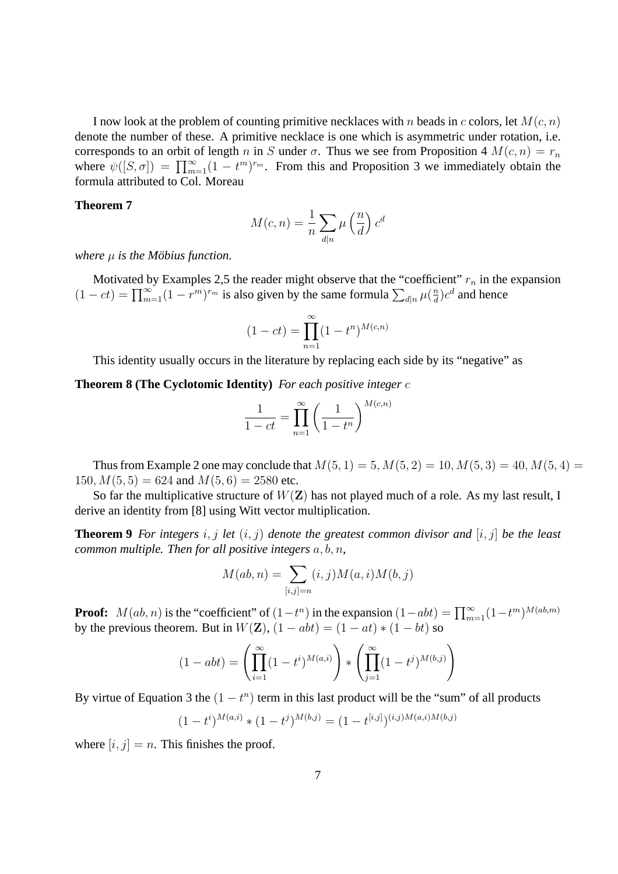I now look at the problem of counting primitive necklaces with n beads in c colors, let  $M(c, n)$ denote the number of these. A primitive necklace is one which is asymmetric under rotation, i.e. corresponds to an orbit of length n in S under  $\sigma$ . Thus we see from Proposition 4  $M(c, n) = r_n$ where  $\psi([S,\sigma]) = \prod_{m=1}^{\infty} (1-t^m)^{r_m}$ . From this and Proposition 3 we immediately obtain the formula attributed to Col. Moreau

#### **Theorem 7**

$$
M(c, n) = \frac{1}{n} \sum_{d|n} \mu\left(\frac{n}{d}\right) c^d
$$

*where*  $\mu$  *is the Möbius function.* 

Motivated by Examples 2,5 the reader might observe that the "coefficient"  $r_n$  in the expansion  $(1 - ct) = \prod_{m=1}^{\infty} (1 - r^m)^{r_m}$  is also given by the same formula  $\sum_{d|n} \mu(\frac{n}{d})$  $\frac{n}{d}$ ) $c^d$  and hence

$$
(1 - ct) = \prod_{n=1}^{\infty} (1 - t^n)^{M(c,n)}
$$

This identity usually occurs in the literature by replacing each side by its "negative" as

**Theorem 8 (The Cyclotomic Identity)** *For each positive integer* c

$$
\frac{1}{1-ct} = \prod_{n=1}^{\infty} \left(\frac{1}{1-t^n}\right)^{M(c,n)}
$$

Thus from Example 2 one may conclude that  $M(5, 1) = 5, M(5, 2) = 10, M(5, 3) = 40, M(5, 4) =$ 150,  $M(5, 5) = 624$  and  $M(5, 6) = 2580$  etc.

So far the multiplicative structure of  $W(Z)$  has not played much of a role. As my last result, I derive an identity from [8] using Witt vector multiplication.

**Theorem 9** *For integers*  $i, j$  *let*  $(i, j)$  *denote the greatest common divisor and*  $[i, j]$  *be the least common multiple. Then for all positive integers* a, b, n*,*

$$
M(ab, n) = \sum_{[i,j]=n} (i,j)M(a,i)M(b,j)
$$

**Proof:**  $M(ab, n)$  is the "coefficient" of  $(1 - t^n)$  in the expansion  $(1 - abt) = \prod_{m=1}^{\infty} (1 - t^m)^{M(ab, m)}$ by the previous theorem. But in  $W(Z)$ ,  $(1 - abt) = (1 - at) * (1 - bt)$  so

$$
(1 - abt) = \left(\prod_{i=1}^{\infty} (1 - t^i)^{M(a,i)}\right) * \left(\prod_{j=1}^{\infty} (1 - t^j)^{M(b,j)}\right)
$$

By virtue of Equation 3 the  $(1 - t^n)$  term in this last product will be the "sum" of all products

$$
(1-t^i)^{M(a,i)} * (1-t^j)^{M(b,j)} = (1-t^{[i,j]})^{(i,j)M(a,i)M(b,j)}
$$

where  $[i, j] = n$ . This finishes the proof.